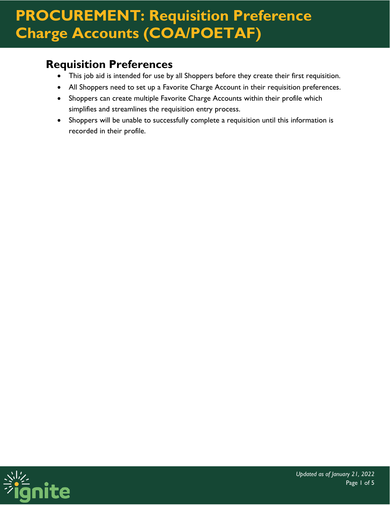#### **Requisition Preferences**

- This job aid is intended for use by all Shoppers before they create their first requisition.
- All Shoppers need to set up a Favorite Charge Account in their requisition preferences.
- Shoppers can create multiple Favorite Charge Accounts within their profile which simplifies and streamlines the requisition entry process.
- Shoppers will be unable to successfully complete a requisition until this information is recorded in their profile.

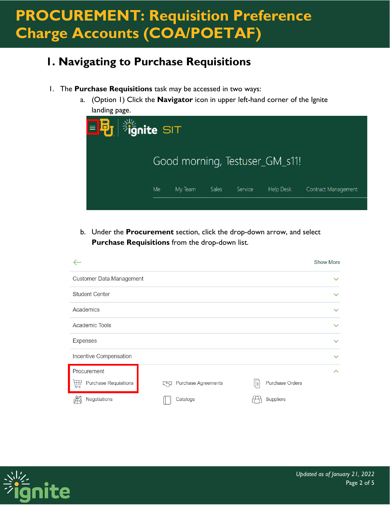#### **1. Navigating to Purchase Requisitions**

- 1. The **Purchase Requisitions** task may be accessed in two ways:
	- a. (Option 1) Click the **Navigator** icon in upper left-hand corner of the Ignite landing page.



b. Under the **Procurement** section, click the drop-down arrow, and select **Purchase Requisitions** from the drop-down list.

|                                   |                                         |                       | <b>Show More</b> |
|-----------------------------------|-----------------------------------------|-----------------------|------------------|
| Customer Data Management          |                                         |                       | $\checkmark$     |
| <b>Student Center</b>             |                                         |                       | $\checkmark$     |
| Academics                         |                                         |                       | $\checkmark$     |
| Academic Tools                    |                                         |                       | $\checkmark$     |
| Expenses                          |                                         |                       | $\checkmark$     |
| Incentive Compensation            |                                         |                       | $\checkmark$     |
| Procurement                       |                                         |                       | ᄉ                |
| <b>Purchase Requisitions</b><br>孟 | <b>Purchase Agreements</b><br>$\approx$ | Purchase Orders<br>∥≣ |                  |
| Negotiations                      | Catalogs                                | Suppliers             |                  |

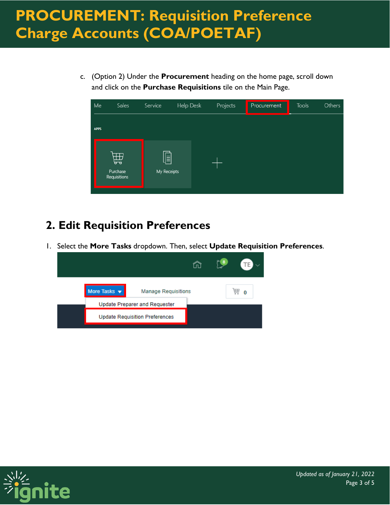c. (Option 2) Under the **Procurement** heading on the home page, scroll down and click on the **Purchase Requisitions** tile on the Main Page.



#### **2. Edit Requisition Preferences**

1. Select the **More Tasks** dropdown. Then, select **Update Requisition Preferences**.



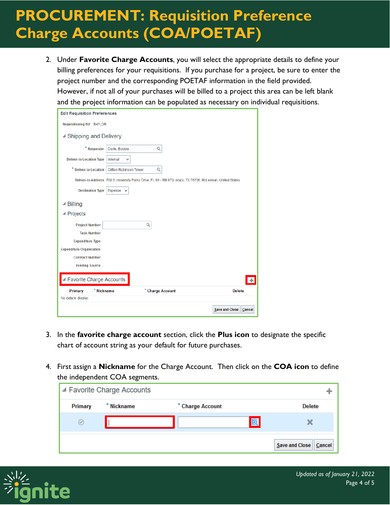2. Under **Favorite Charge Accounts**, you will select the appropriate details to define your billing preferences for your requisitions. If you purchase for a project, be sure to enter the project number and the corresponding POETAF information in the field provided. However, if not all of your purchases will be billed to a project this area can be left blank and the project information can be populated as necessary on individual requisitions.

| <b>Edit Requisition Preferences</b>                                                                      |  |  |  |  |
|----------------------------------------------------------------------------------------------------------|--|--|--|--|
| <b>Requisitioning BU BAYLOR</b>                                                                          |  |  |  |  |
| ▲ Shipping and Delivery                                                                                  |  |  |  |  |
| * Requester<br>Doyle, Bobbie<br>Q                                                                        |  |  |  |  |
| <b>Deliver-to Location Type</b><br>Internal<br>$\checkmark$                                              |  |  |  |  |
| * Deliver-to Location<br><b>Clifton Robinson Tower</b><br>Q                                              |  |  |  |  |
| Deliver-to Address 700 S University Parks Drive, FL 06 - RM 670, Waco, TX 76706, McLennan, United States |  |  |  |  |
| <b>Destination Type</b><br>Expense                                                                       |  |  |  |  |
| <b>⊿ Billing</b>                                                                                         |  |  |  |  |
| ▲ Projects                                                                                               |  |  |  |  |
| <b>Project Number</b><br>Q                                                                               |  |  |  |  |
| <b>Task Number</b>                                                                                       |  |  |  |  |
| <b>Expenditure Type</b>                                                                                  |  |  |  |  |
| <b>Expenditure Organization</b>                                                                          |  |  |  |  |
| <b>Contract Number</b>                                                                                   |  |  |  |  |
| <b>Funding Source</b>                                                                                    |  |  |  |  |
| ▲ Favorite Charge Accounts                                                                               |  |  |  |  |
| * Nickname<br>* Charge Account<br>Primary<br><b>Delete</b>                                               |  |  |  |  |
| No data to display.                                                                                      |  |  |  |  |
| <b>Save and Close</b><br>Cancel                                                                          |  |  |  |  |

- 3. In the **favorite charge account** section, click the **Plus icon** to designate the specific chart of account string as your default for future purchases.
- 4. First assign a **Nickname** for the Charge Account. Then click on the **COA icon** to define the independent COA segments.

|                | ■ Favorite Charge Accounts |                  |                          |
|----------------|----------------------------|------------------|--------------------------|
| Primary        | * Nickname                 | * Charge Account | <b>Delete</b>            |
| $(\checkmark)$ |                            |                  | 圆                        |
|                |                            |                  | Save and Close<br>Cancel |